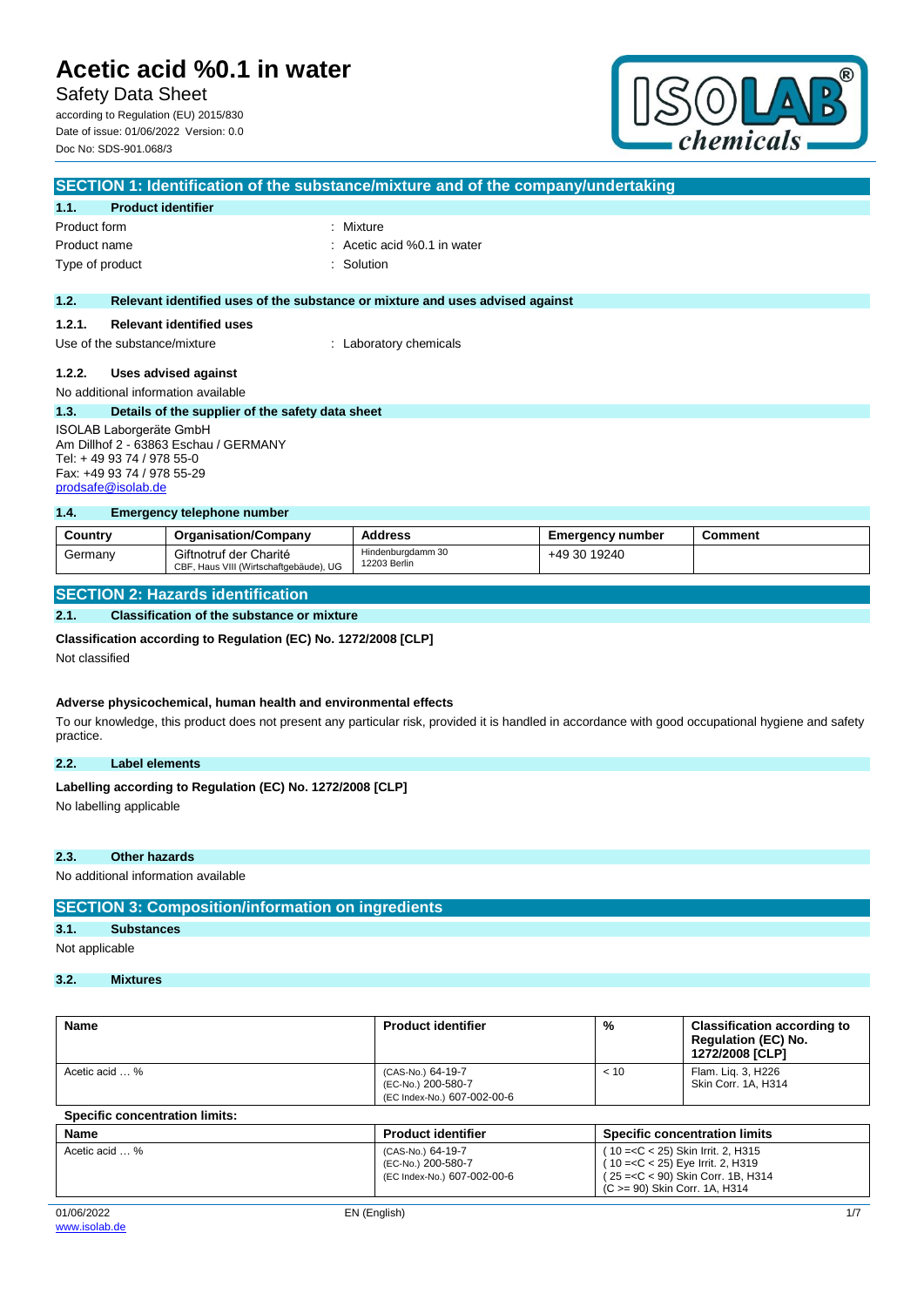Safety Data Sheet according to Regulation (EU) 2015/830 Date of issue: 01/06/2022 Version: 0.0 Doc No: SDS-901.068/3



| SECTION 1: Identification of the substance/mixture and of the company/undertaking                                                                         |                                                  |                                                                               |
|-----------------------------------------------------------------------------------------------------------------------------------------------------------|--------------------------------------------------|-------------------------------------------------------------------------------|
| 1.1.                                                                                                                                                      | <b>Product identifier</b>                        |                                                                               |
| Product form                                                                                                                                              |                                                  | : Mixture                                                                     |
| Product name                                                                                                                                              |                                                  | $\therefore$ Acetic acid %0.1 in water                                        |
| Type of product                                                                                                                                           |                                                  | : Solution                                                                    |
|                                                                                                                                                           |                                                  |                                                                               |
| 1.2.                                                                                                                                                      |                                                  | Relevant identified uses of the substance or mixture and uses advised against |
| 1.2.1.                                                                                                                                                    | <b>Relevant identified uses</b>                  |                                                                               |
|                                                                                                                                                           | Use of the substance/mixture                     | : Laboratory chemicals                                                        |
| 1.2.2.                                                                                                                                                    | Uses advised against                             |                                                                               |
| No additional information available                                                                                                                       |                                                  |                                                                               |
| 1.3.                                                                                                                                                      | Details of the supplier of the safety data sheet |                                                                               |
| <b>ISOLAB Laborgeräte GmbH</b><br>Am Dillhof 2 - 63863 Eschau / GERMANY<br>Tel: + 49 93 74 / 978 55-0<br>Fax: +49 93 74 / 978 55-29<br>prodsafe@isolab.de |                                                  |                                                                               |

#### **1.4. Emergency telephone number**

| Country | <b>Organisation/Company</b>                                      | <b>Address</b>                    | <b>Emergency number</b> | Comment |
|---------|------------------------------------------------------------------|-----------------------------------|-------------------------|---------|
| Germany | Giftnotruf der Charité<br>CBF, Haus VIII (Wirtschaftgebäude), UG | Hindenburgdamm 30<br>12203 Berlin | +49 30 19240            |         |

#### **SECTION 2: Hazards identification**

#### **2.1. Classification of the substance or mixture**

#### **Classification according to Regulation (EC) No. 1272/2008 [CLP]**

Not classified

#### **Adverse physicochemical, human health and environmental effects**

To our knowledge, this product does not present any particular risk, provided it is handled in accordance with good occupational hygiene and safety practice.

#### **2.2. Label elements**

# Labelling according to Regulation (EC) No. 1272/2008 [CLP]

No labelling applicable

#### **2.3. Other hazards**

No additional information available

#### **SECTION 3: Composition/information on ingredients**

### **3.1. Substances**

Not applicable

### **3.2. Mixtures**

| Name                                  | <b>Product identifier</b>                                              | $\%$                          | <b>Classification according to</b><br><b>Regulation (EC) No.</b><br>1272/2008 [CLP]                             |
|---------------------------------------|------------------------------------------------------------------------|-------------------------------|-----------------------------------------------------------------------------------------------------------------|
| Acetic acid  %                        | (CAS-No.) 64-19-7<br>(EC-No.) 200-580-7<br>(EC Index-No.) 607-002-00-6 | < 10                          | Flam. Lig. 3, H226<br>Skin Corr. 1A, H314                                                                       |
| <b>Specific concentration limits:</b> |                                                                        |                               |                                                                                                                 |
| Name                                  | <b>Product identifier</b>                                              |                               | <b>Specific concentration limits</b>                                                                            |
| Acetic acid  %                        | (CAS-No.) 64-19-7<br>(EC-No.) 200-580-7<br>(EC Index-No.) 607-002-00-6 | (C >= 90) Skin Corr. 1A, H314 | (10 = < C < 25) Skin Irrit. 2, H315<br>10 = < C < 25) Eye Irrit. 2, H319<br>(25 = < C < 90) Skin Corr. 1B, H314 |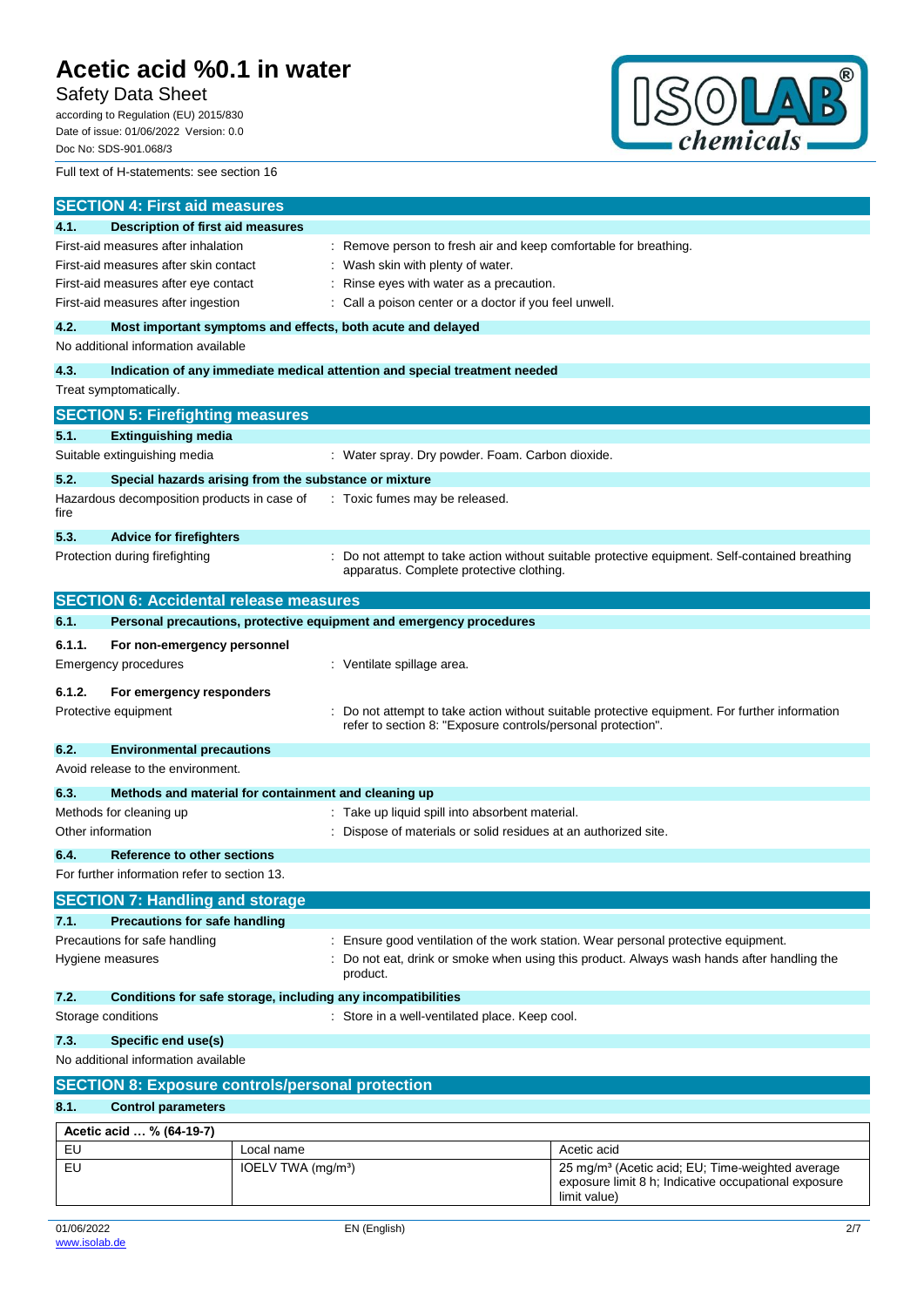Safety Data Sheet

according to Regulation (EU) 2015/830 Date of issue: 01/06/2022 Version: 0.0 Doc No: SDS-901.068/3



Full text of H-statements: see section 16

| <b>SECTION 4: First aid measures</b>                                                    |                                                         |                                                                                  |                                                                                                                                      |  |
|-----------------------------------------------------------------------------------------|---------------------------------------------------------|----------------------------------------------------------------------------------|--------------------------------------------------------------------------------------------------------------------------------------|--|
| <b>Description of first aid measures</b><br>4.1.                                        |                                                         |                                                                                  |                                                                                                                                      |  |
| First-aid measures after inhalation                                                     |                                                         | : Remove person to fresh air and keep comfortable for breathing.                 |                                                                                                                                      |  |
| First-aid measures after skin contact                                                   |                                                         | Wash skin with plenty of water.                                                  |                                                                                                                                      |  |
| First-aid measures after eye contact                                                    |                                                         | Rinse eyes with water as a precaution.                                           |                                                                                                                                      |  |
| First-aid measures after ingestion                                                      |                                                         | Call a poison center or a doctor if you feel unwell.                             |                                                                                                                                      |  |
| 4.2.                                                                                    |                                                         | Most important symptoms and effects, both acute and delayed                      |                                                                                                                                      |  |
| No additional information available                                                     |                                                         |                                                                                  |                                                                                                                                      |  |
| 4.3.                                                                                    |                                                         | Indication of any immediate medical attention and special treatment needed       |                                                                                                                                      |  |
| Treat symptomatically.                                                                  |                                                         |                                                                                  |                                                                                                                                      |  |
| <b>SECTION 5: Firefighting measures</b>                                                 |                                                         |                                                                                  |                                                                                                                                      |  |
| 5.1.<br><b>Extinguishing media</b>                                                      |                                                         |                                                                                  |                                                                                                                                      |  |
| Suitable extinguishing media                                                            |                                                         | : Water spray. Dry powder. Foam. Carbon dioxide.                                 |                                                                                                                                      |  |
| 5.2.<br>Special hazards arising from the substance or mixture                           |                                                         |                                                                                  |                                                                                                                                      |  |
| Hazardous decomposition products in case of                                             |                                                         | : Toxic fumes may be released.                                                   |                                                                                                                                      |  |
| fire                                                                                    |                                                         |                                                                                  |                                                                                                                                      |  |
| 5.3.<br><b>Advice for firefighters</b>                                                  |                                                         |                                                                                  |                                                                                                                                      |  |
| Protection during firefighting                                                          |                                                         |                                                                                  | : Do not attempt to take action without suitable protective equipment. Self-contained breathing                                      |  |
|                                                                                         |                                                         | apparatus. Complete protective clothing.                                         |                                                                                                                                      |  |
| <b>SECTION 6: Accidental release measures</b>                                           |                                                         |                                                                                  |                                                                                                                                      |  |
| 6.1.                                                                                    |                                                         | Personal precautions, protective equipment and emergency procedures              |                                                                                                                                      |  |
| 6.1.1.<br>For non-emergency personnel                                                   |                                                         |                                                                                  |                                                                                                                                      |  |
| Emergency procedures                                                                    |                                                         | : Ventilate spillage area.                                                       |                                                                                                                                      |  |
|                                                                                         |                                                         |                                                                                  |                                                                                                                                      |  |
| 6.1.2.<br>For emergency responders                                                      |                                                         |                                                                                  |                                                                                                                                      |  |
| Protective equipment                                                                    |                                                         | refer to section 8: "Exposure controls/personal protection".                     | Do not attempt to take action without suitable protective equipment. For further information                                         |  |
|                                                                                         |                                                         |                                                                                  |                                                                                                                                      |  |
| 6.2.<br><b>Environmental precautions</b><br>Avoid release to the environment.           |                                                         |                                                                                  |                                                                                                                                      |  |
|                                                                                         |                                                         |                                                                                  |                                                                                                                                      |  |
| 6.3.<br>Methods and material for containment and cleaning up<br>Methods for cleaning up |                                                         | : Take up liquid spill into absorbent material.                                  |                                                                                                                                      |  |
| Other information                                                                       |                                                         | Dispose of materials or solid residues at an authorized site.                    |                                                                                                                                      |  |
|                                                                                         |                                                         |                                                                                  |                                                                                                                                      |  |
| <b>Reference to other sections</b><br>6.4.                                              |                                                         |                                                                                  |                                                                                                                                      |  |
| For further information refer to section 13.                                            |                                                         |                                                                                  |                                                                                                                                      |  |
| <b>SECTION 7: Handling and storage</b>                                                  |                                                         |                                                                                  |                                                                                                                                      |  |
| 7.1.<br><b>Precautions for safe handling</b>                                            |                                                         |                                                                                  |                                                                                                                                      |  |
| Precautions for safe handling                                                           |                                                         | Ensure good ventilation of the work station. Wear personal protective equipment. |                                                                                                                                      |  |
| Hygiene measures                                                                        |                                                         | product.                                                                         | Do not eat, drink or smoke when using this product. Always wash hands after handling the                                             |  |
| 7.2.<br>Conditions for safe storage, including any incompatibilities                    |                                                         |                                                                                  |                                                                                                                                      |  |
| Storage conditions                                                                      |                                                         | : Store in a well-ventilated place. Keep cool.                                   |                                                                                                                                      |  |
|                                                                                         |                                                         |                                                                                  |                                                                                                                                      |  |
| No additional information available                                                     | 7.3.<br>Specific end use(s)                             |                                                                                  |                                                                                                                                      |  |
|                                                                                         |                                                         |                                                                                  |                                                                                                                                      |  |
|                                                                                         | <b>SECTION 8: Exposure controls/personal protection</b> |                                                                                  |                                                                                                                                      |  |
| 8.1.<br><b>Control parameters</b>                                                       |                                                         |                                                                                  |                                                                                                                                      |  |
| Acetic acid  % (64-19-7)                                                                |                                                         |                                                                                  |                                                                                                                                      |  |
| EU                                                                                      | Local name                                              |                                                                                  | Acetic acid                                                                                                                          |  |
| EU                                                                                      | IOELV TWA $(mg/m3)$                                     |                                                                                  | 25 mg/m <sup>3</sup> (Acetic acid; EU; Time-weighted average<br>exposure limit 8 h; Indicative occupational exposure<br>limit value) |  |
|                                                                                         |                                                         |                                                                                  |                                                                                                                                      |  |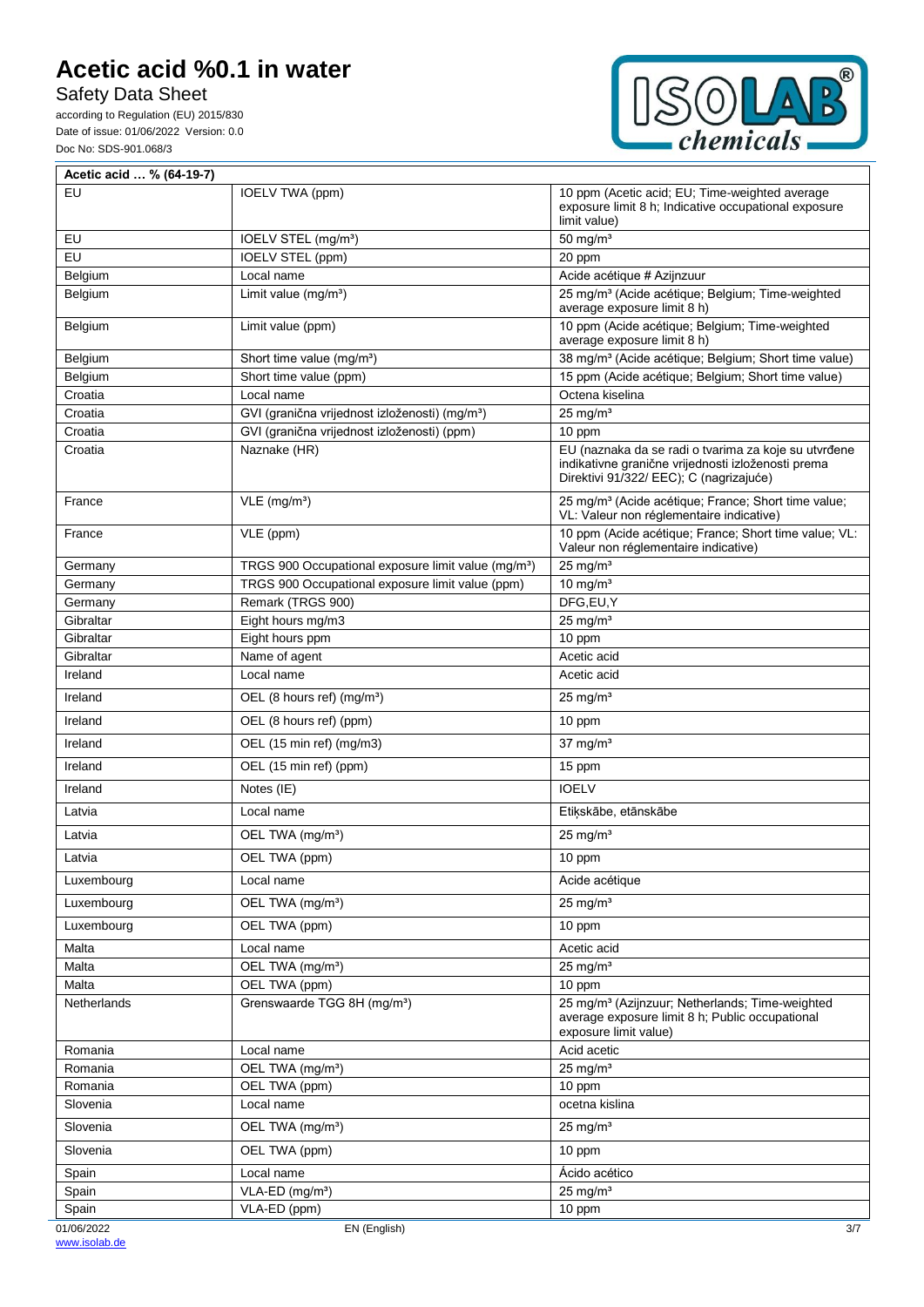Safety Data Sheet

according to Regulation (EU) 2015/830 Date of issue: 01/06/2022 Version: 0.0 Doc No: SDS-901.068/3



| Acetic acid  % (64-19-7) |                                                                 |                                                                                                                                                       |
|--------------------------|-----------------------------------------------------------------|-------------------------------------------------------------------------------------------------------------------------------------------------------|
| EU                       | IOELV TWA (ppm)                                                 | 10 ppm (Acetic acid; EU; Time-weighted average<br>exposure limit 8 h; Indicative occupational exposure<br>limit value)                                |
| EU                       | IOELV STEL (mg/m <sup>3</sup> )                                 | 50 mg/ $m3$                                                                                                                                           |
| EU                       | <b>IOELV STEL (ppm)</b>                                         | 20 ppm                                                                                                                                                |
| Belgium                  | Local name                                                      | Acide acétique # Azijnzuur                                                                                                                            |
| Belgium                  | Limit value $(mg/m3)$                                           | 25 mg/m <sup>3</sup> (Acide acétique; Belgium; Time-weighted<br>average exposure limit 8 h)                                                           |
| Belgium                  | Limit value (ppm)                                               | 10 ppm (Acide acétique; Belgium; Time-weighted<br>average exposure limit 8 h)                                                                         |
| Belgium                  | Short time value (mg/m <sup>3</sup> )                           | 38 mg/m <sup>3</sup> (Acide acétique; Belgium; Short time value)                                                                                      |
| Belgium                  | Short time value (ppm)                                          | 15 ppm (Acide acétique; Belgium; Short time value)                                                                                                    |
| Croatia                  | Local name                                                      | Octena kiselina                                                                                                                                       |
| Croatia                  | GVI (granična vrijednost izloženosti) (mg/m <sup>3</sup> )      | $25 \text{ mg/m}^3$                                                                                                                                   |
| Croatia                  | GVI (granična vrijednost izloženosti) (ppm)                     | 10 ppm                                                                                                                                                |
| Croatia                  | Naznake (HR)                                                    | EU (naznaka da se radi o tvarima za koje su utvrđene<br>indikativne granične vrijednosti izloženosti prema<br>Direktivi 91/322/ EEC); C (nagrizajuće) |
| France                   | $VLE$ (mg/m <sup>3</sup> )                                      | 25 mg/m <sup>3</sup> (Acide acétique; France; Short time value;<br>VL: Valeur non réglementaire indicative)                                           |
| France                   | VLE (ppm)                                                       | 10 ppm (Acide acétique; France; Short time value; VL:<br>Valeur non réglementaire indicative)                                                         |
| Germany                  | TRGS 900 Occupational exposure limit value (mg/m <sup>3</sup> ) | $25 \text{ ma/m}^3$                                                                                                                                   |
| Germany                  | TRGS 900 Occupational exposure limit value (ppm)                | 10 mg/ $m3$                                                                                                                                           |
| Germany                  | Remark (TRGS 900)                                               | DFG,EU,Y                                                                                                                                              |
| Gibraltar                | Eight hours mg/m3                                               | $25$ mg/m <sup>3</sup>                                                                                                                                |
| Gibraltar                | Eight hours ppm                                                 | 10 ppm                                                                                                                                                |
| Gibraltar                | Name of agent                                                   | Acetic acid                                                                                                                                           |
| Ireland                  | Local name                                                      | Acetic acid                                                                                                                                           |
| Ireland                  | OEL (8 hours ref) (mg/m <sup>3</sup> )                          | $25 \text{ mg/m}^3$                                                                                                                                   |
| Ireland                  | OEL (8 hours ref) (ppm)                                         | 10 ppm                                                                                                                                                |
| Ireland                  | OEL (15 min ref) (mg/m3)                                        | $37 \text{ mg/m}^3$                                                                                                                                   |
| Ireland                  | OEL (15 min ref) (ppm)                                          | 15 ppm                                                                                                                                                |
| Ireland                  | Notes (IE)                                                      | <b>IOELV</b>                                                                                                                                          |
| Latvia                   | Local name                                                      | Etikskābe, etānskābe                                                                                                                                  |
| Latvia                   | OEL TWA (mg/m <sup>3</sup> )                                    | $25 \text{ mg/m}^3$                                                                                                                                   |
| Latvia                   | OEL TWA (ppm)                                                   | 10 ppm                                                                                                                                                |
| Luxembourg               | Local name                                                      | Acide acétique                                                                                                                                        |
| Luxembourg               | OEL TWA (mg/m <sup>3</sup> )                                    | $25 \text{ mg/m}^3$                                                                                                                                   |
| Luxembourg               | OEL TWA (ppm)                                                   | 10 ppm                                                                                                                                                |
| Malta                    | Local name                                                      | Acetic acid                                                                                                                                           |
| Malta                    | OEL TWA (mg/m <sup>3</sup> )                                    | $\overline{25}$ mg/m <sup>3</sup>                                                                                                                     |
| Malta                    | OEL TWA (ppm)                                                   | 10 ppm                                                                                                                                                |
| Netherlands              | Grenswaarde TGG 8H (mg/m <sup>3</sup> )                         | 25 mg/m <sup>3</sup> (Azijnzuur; Netherlands; Time-weighted<br>average exposure limit 8 h: Public occupational<br>exposure limit value)               |
| Romania                  | Local name                                                      | Acid acetic                                                                                                                                           |
| Romania                  | OEL TWA (mg/m <sup>3</sup> )                                    | $25$ mg/m <sup>3</sup>                                                                                                                                |
| Romania                  | OEL TWA (ppm)                                                   | 10 ppm                                                                                                                                                |
| Slovenia                 | Local name                                                      | ocetna kislina                                                                                                                                        |
| Slovenia                 | OEL TWA (mg/m <sup>3</sup> )                                    | $25$ mg/m <sup>3</sup>                                                                                                                                |
| Slovenia                 | OEL TWA (ppm)                                                   | 10 ppm                                                                                                                                                |
| Spain                    | Local name                                                      | Ácido acético                                                                                                                                         |
| Spain                    | VLA-ED (mg/m <sup>3</sup> )                                     | $25$ mg/m <sup>3</sup>                                                                                                                                |
| Spain<br>01/06/2022      | VLA-ED (ppm)<br>EN (English)                                    | 10 ppm                                                                                                                                                |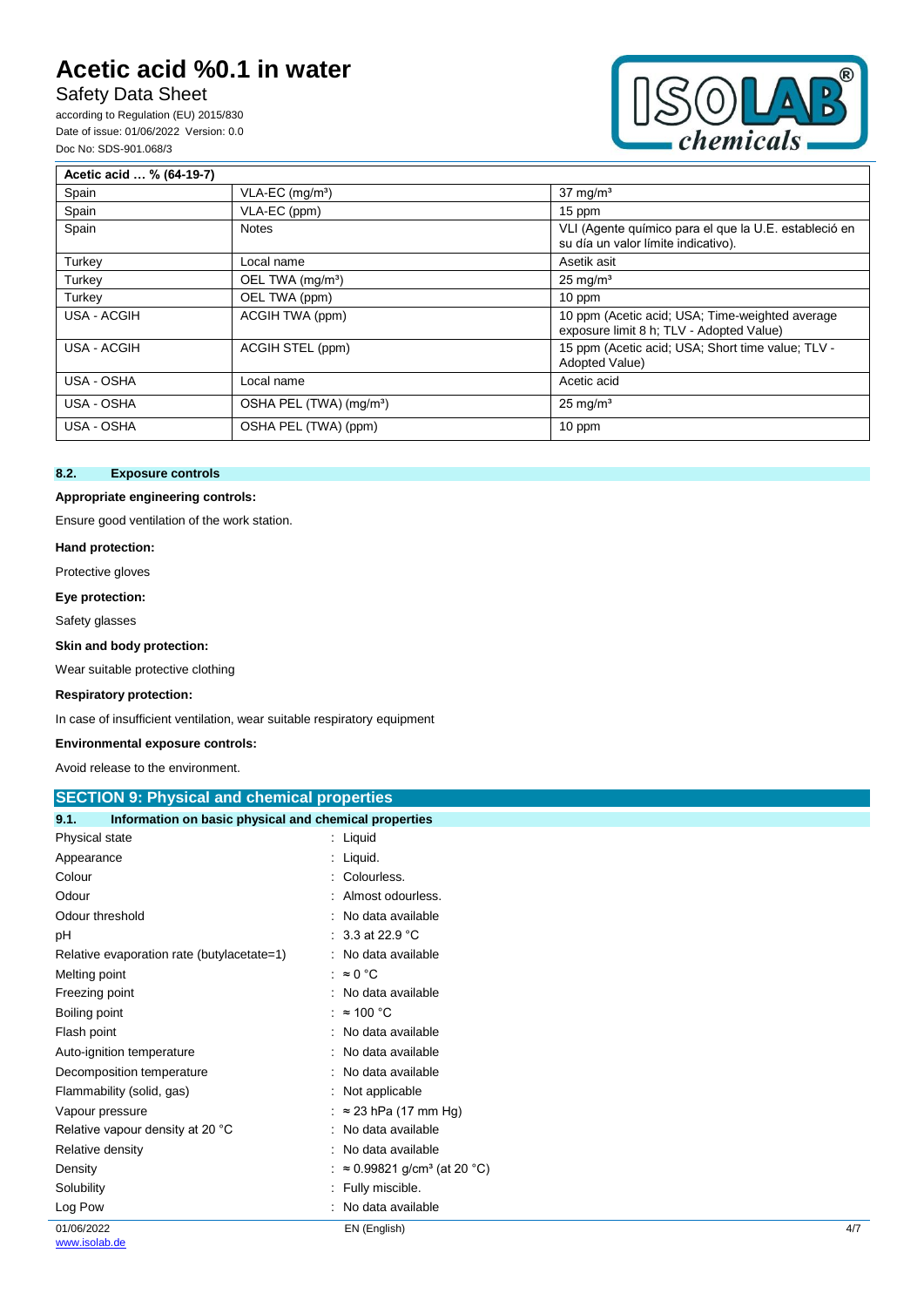# Safety Data Sheet

according to Regulation (EU) 2015/830 Date of issue: 01/06/2022 Version: 0.0 Doc No: SDS-901.068/3



| Acetic acid  % (64-19-7) |                                     |                                                                                              |
|--------------------------|-------------------------------------|----------------------------------------------------------------------------------------------|
| Spain                    | VLA-EC (mg/m <sup>3</sup> )         | $37 \text{ mg/m}^3$                                                                          |
| Spain                    | VLA-EC (ppm)                        | 15 ppm                                                                                       |
| Spain                    | <b>Notes</b>                        | VLI (Agente químico para el que la U.E. estableció en<br>su día un valor límite indicativo). |
| Turkey                   | Local name                          | Asetik asit                                                                                  |
| Turkey                   | OEL TWA (mg/m <sup>3</sup> )        | $25 \text{ mg/m}^3$                                                                          |
| Turkey                   | OEL TWA (ppm)                       | 10 ppm                                                                                       |
| USA - ACGIH              | ACGIH TWA (ppm)                     | 10 ppm (Acetic acid; USA; Time-weighted average<br>exposure limit 8 h; TLV - Adopted Value)  |
| USA - ACGIH              | ACGIH STEL (ppm)                    | 15 ppm (Acetic acid; USA; Short time value; TLV -<br>Adopted Value)                          |
| USA - OSHA               | Local name                          | Acetic acid                                                                                  |
| USA - OSHA               | OSHA PEL (TWA) (mg/m <sup>3</sup> ) | $25 \text{ mg/m}^3$                                                                          |
| USA - OSHA               | OSHA PEL (TWA) (ppm)                | 10 ppm                                                                                       |

#### **8.2. Exposure controls**

#### **Appropriate engineering controls:**

Ensure good ventilation of the work station.

#### **Hand protection:**

Protective gloves

**Eye protection:**

Safety glasses

#### **Skin and body protection:**

Wear suitable protective clothing

#### **Respiratory protection:**

In case of insufficient ventilation, wear suitable respiratory equipment

#### **Environmental exposure controls:**

Avoid release to the environment.

| <b>SECTION 9: Physical and chemical properties</b>            |                                                |     |
|---------------------------------------------------------------|------------------------------------------------|-----|
| Information on basic physical and chemical properties<br>9.1. |                                                |     |
| Physical state                                                | $:$ Liquid                                     |     |
| Appearance                                                    | : Liquid.                                      |     |
| Colour                                                        | Colourless.                                    |     |
| Odour                                                         | Almost odourless.                              |     |
| Odour threshold                                               | No data available                              |     |
| рH                                                            | 3.3 at 22.9 °C                                 |     |
| Relative evaporation rate (butylacetate=1)                    | No data available                              |     |
| Melting point                                                 | : $\approx 0$ °C                               |     |
| Freezing point                                                | No data available                              |     |
| Boiling point                                                 | $\approx$ 100 °C                               |     |
| Flash point                                                   | : No data available                            |     |
| Auto-ignition temperature                                     | No data available                              |     |
| Decomposition temperature                                     | No data available                              |     |
| Flammability (solid, gas)                                     | Not applicable                                 |     |
| Vapour pressure                                               | $\approx$ 23 hPa (17 mm Hg)                    |     |
| Relative vapour density at 20 °C                              | No data available                              |     |
| Relative density                                              | No data available                              |     |
| Density                                                       | $\approx 0.99821$ g/cm <sup>3</sup> (at 20 °C) |     |
| Solubility                                                    | Fully miscible.                                |     |
| Log Pow                                                       | No data available                              |     |
| 01/06/2022                                                    | EN (English)                                   | 4/7 |
| www.isolab.de                                                 |                                                |     |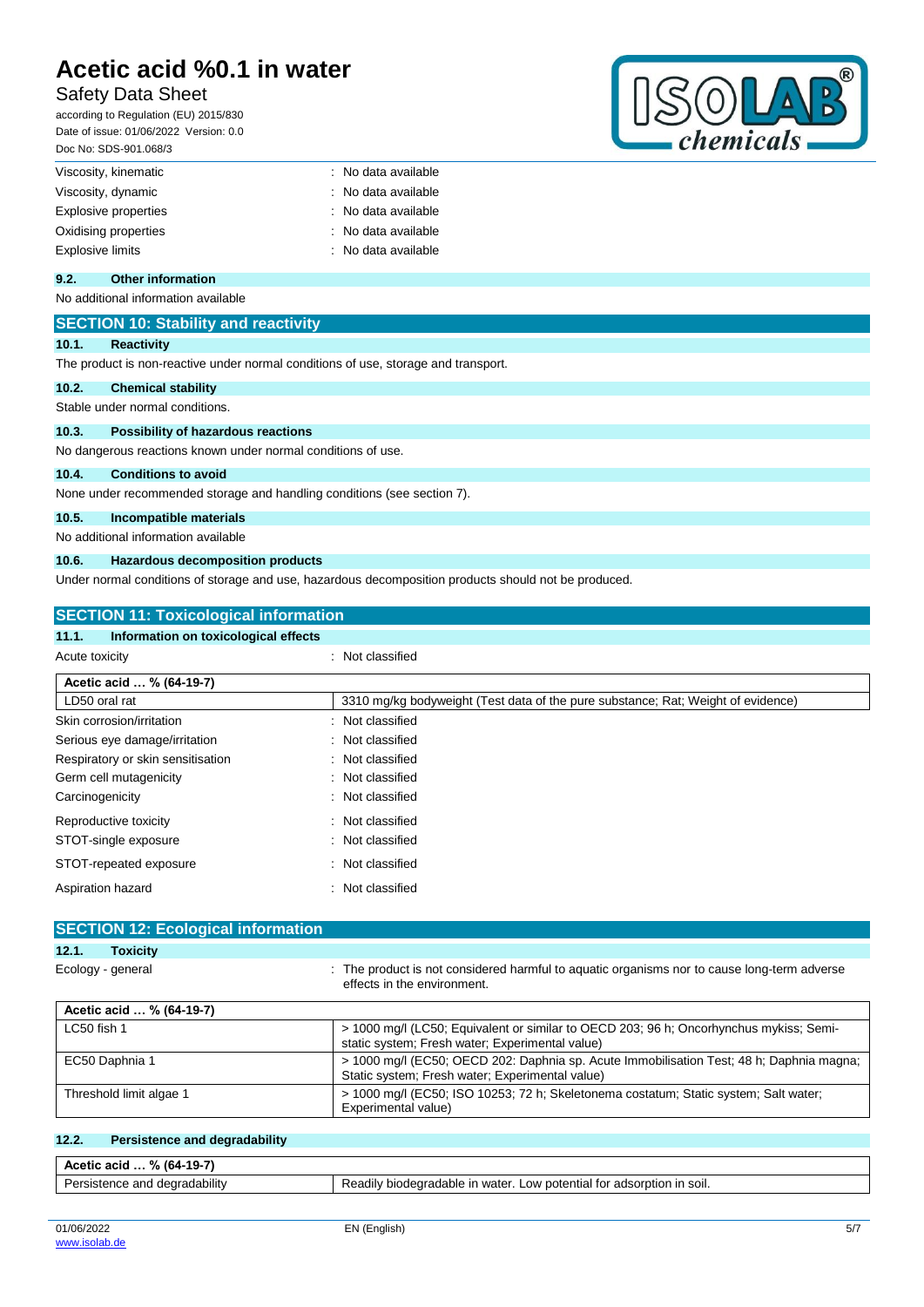## Safety Data Sheet

according to Regulation (EU) 2015/830 Date of issue: 01/06/2022 Version: 0.0 Doc No: SDS-901.068/3



| Viscosity, kinematic        | : No data available |
|-----------------------------|---------------------|
| Viscosity, dynamic          | : No data available |
| <b>Explosive properties</b> | : No data available |
| Oxidising properties        | : No data available |
| <b>Explosive limits</b>     | : No data available |

### **9.2. Other information**

No additional information available

### **SECTION 10: Stability and reactivity**

#### **10.1. Reactivity**

The product is non-reactive under normal conditions of use, storage and transport.

#### **10.2. Chemical stability**

Stable under normal conditions.

#### **10.3. Possibility of hazardous reactions**

No dangerous reactions known under normal conditions of use.

#### **10.4. Conditions to avoid**

None under recommended storage and handling conditions (see section 7).

#### **10.5. Incompatible materials**

No additional information available

#### **10.6. Hazardous decomposition products**

Under normal conditions of storage and use, hazardous decomposition products should not be produced.

| <b>SECTION 11: Toxicological information</b>  |                                                                                  |  |
|-----------------------------------------------|----------------------------------------------------------------------------------|--|
| Information on toxicological effects<br>11.1. |                                                                                  |  |
| Acute toxicity                                | : Not classified                                                                 |  |
| Acetic acid  % (64-19-7)                      |                                                                                  |  |
| LD50 oral rat                                 | 3310 mg/kg bodyweight (Test data of the pure substance: Rat: Weight of evidence) |  |
| Skin corrosion/irritation                     | : Not classified                                                                 |  |
| Serious eye damage/irritation                 | : Not classified                                                                 |  |
| Respiratory or skin sensitisation             | : Not classified                                                                 |  |
| Germ cell mutagenicity                        | : Not classified                                                                 |  |
| Carcinogenicity                               | : Not classified                                                                 |  |
| Reproductive toxicity                         | : Not classified                                                                 |  |
| STOT-single exposure                          | : Not classified                                                                 |  |
| STOT-repeated exposure                        | : Not classified                                                                 |  |
| Aspiration hazard                             | Not classified<br>÷                                                              |  |

### **SECTION 12: Ecological information 12.1. Toxicity** Ecology - general **interproduct is not considered harmful to aquatic organisms nor to cause long-term adverse** effects in the environment.

| Acetic acid  % (64-19-7) |                                                                                                                                             |
|--------------------------|---------------------------------------------------------------------------------------------------------------------------------------------|
| LC50 fish 1              | > 1000 mg/l (LC50; Equivalent or similar to OECD 203; 96 h; Oncorhynchus mykiss; Semi-<br>static system; Fresh water; Experimental value)   |
| EC50 Daphnia 1           | > 1000 mg/l (EC50; OECD 202: Daphnia sp. Acute Immobilisation Test; 48 h; Daphnia magna;<br>Static system; Fresh water; Experimental value) |
| Threshold limit algae 1  | > 1000 mg/l (EC50; ISO 10253; 72 h; Skeletonema costatum; Static system; Salt water;<br>Experimental value)                                 |

#### **12.2. Persistence and degradability**

| $-19-7$<br>% (64)<br>Acetic acid            |                                                                                                    |  |
|---------------------------------------------|----------------------------------------------------------------------------------------------------|--|
| <b>Par</b><br>ersistence and degradability? | ↑ SOII.<br>biodearadable in water.<br>) IN<br>ootential for<br>adsorption<br>∟OW<br>Readily<br>___ |  |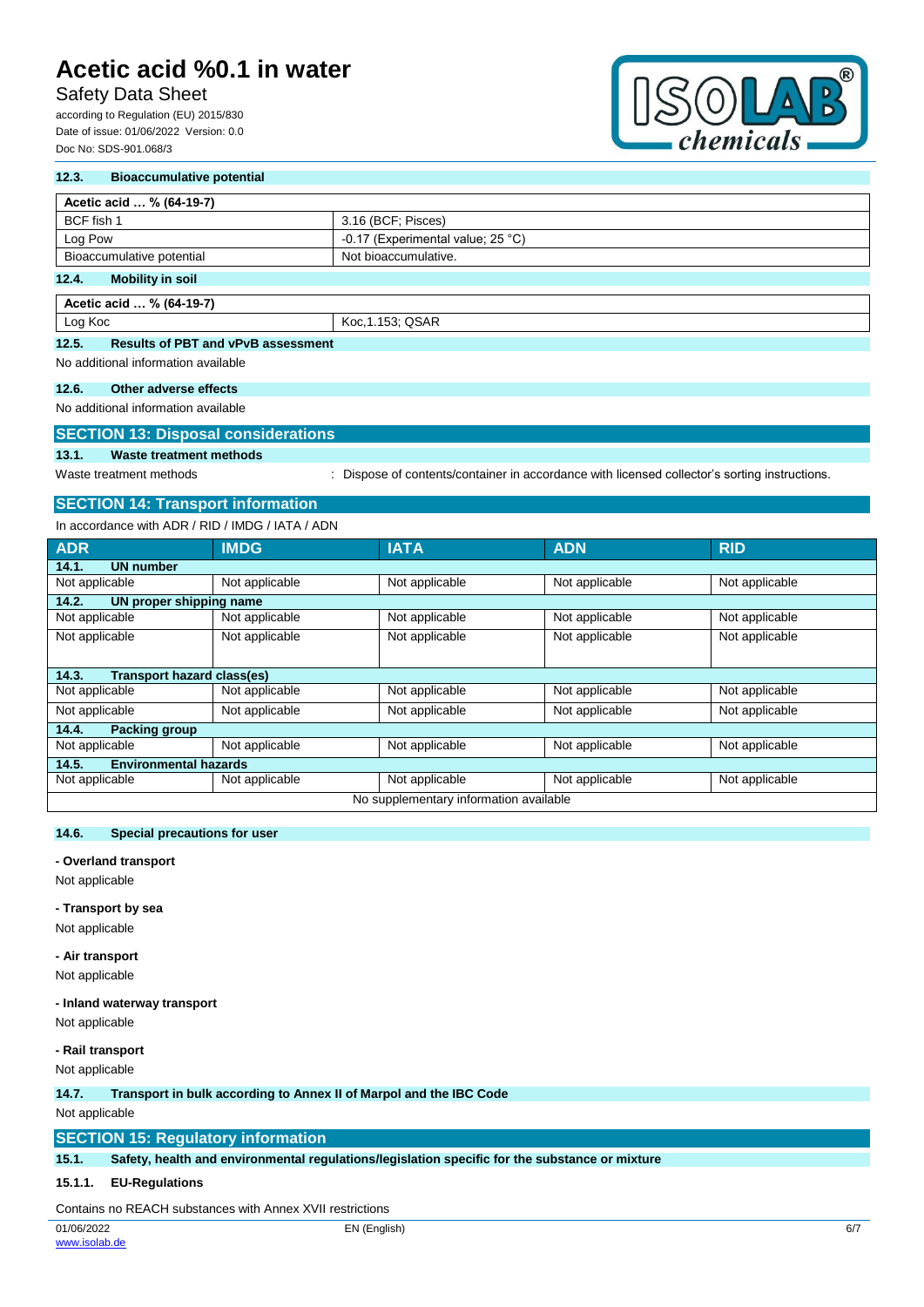# Safety Data Sheet

according to Regulation (EU) 2015/830 Date of issue: 01/06/2022 Version: 0.0 Doc No: SDS-901.068/3



#### **12.3. Bioaccumulative potential**

| Acetic acid  % (64-19-7)         |                                            |  |
|----------------------------------|--------------------------------------------|--|
| BCF fish 1                       | 3.16 (BCF; Pisces)                         |  |
| Log Pow                          | -0.17 (Experimental value; $25^{\circ}$ C) |  |
| Bioaccumulative potential        | Not bioaccumulative.                       |  |
| 12.4.<br><b>Mobility in soil</b> |                                            |  |

**Acetic acid … % (64-19-7)** Log Koc Koc, 1.153; QSAR

#### **12.5. Results of PBT and vPvB assessment**

No additional information available

#### **12.6. Other adverse effects**

No additional information available

#### **SECTION 13: Disposal considerations**

### **13.1. Waste treatment methods**

Waste treatment methods : Dispose of contents/container in accordance with licensed collector's sorting instructions.

### **SECTION 14: Transport information**

In accordance with ADR / RID / IMDG / IATA / ADN

| <b>ADR</b>                                 | <b>IMDG</b>    | <b>IATA</b>    | <b>ADN</b>     | <b>RID</b>     |  |
|--------------------------------------------|----------------|----------------|----------------|----------------|--|
| 14.1.<br><b>UN number</b>                  |                |                |                |                |  |
| Not applicable                             | Not applicable | Not applicable | Not applicable | Not applicable |  |
| 14.2.<br>UN proper shipping name           |                |                |                |                |  |
| Not applicable                             | Not applicable | Not applicable | Not applicable | Not applicable |  |
| Not applicable                             | Not applicable | Not applicable | Not applicable | Not applicable |  |
|                                            |                |                |                |                |  |
| <b>Transport hazard class(es)</b><br>14.3. |                |                |                |                |  |
| Not applicable                             | Not applicable | Not applicable | Not applicable | Not applicable |  |
| Not applicable                             | Not applicable | Not applicable | Not applicable | Not applicable |  |
| <b>Packing group</b><br>14.4.              |                |                |                |                |  |
| Not applicable                             | Not applicable | Not applicable | Not applicable | Not applicable |  |
| <b>Environmental hazards</b><br>14.5.      |                |                |                |                |  |
| Not applicable                             | Not applicable | Not applicable | Not applicable | Not applicable |  |
| No supplementary information available     |                |                |                |                |  |

#### **14.6. Special precautions for user**

#### **- Overland transport**

Not applicable

**- Transport by sea**

Not applicable

#### **- Air transport**

Not applicable

#### **- Inland waterway transport**

Not applicable

#### **- Rail transport**

Not applicable

#### **14.7. Transport in bulk according to Annex II of Marpol and the IBC Code**

Not applicable

#### **SECTION 15: Regulatory information**

**15.1. Safety, health and environmental regulations/legislation specific for the substance or mixture**

#### **15.1.1. EU-Regulations**

Contains no REACH substances with Annex XVII restrictions